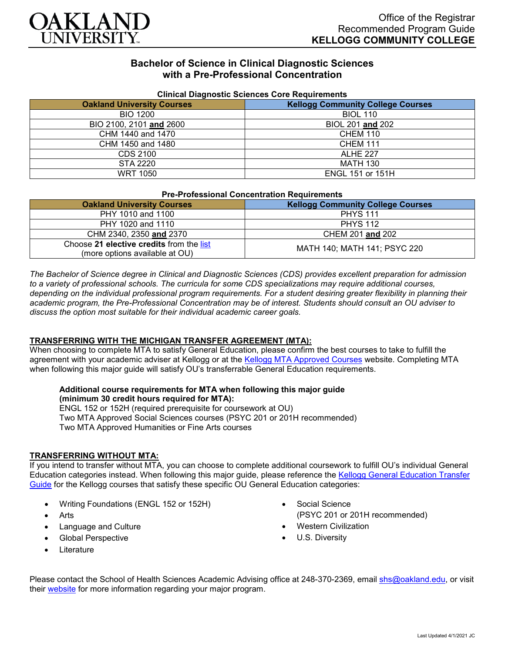

# **Bachelor of Science in Clinical Diagnostic Sciences with a Pre-Professional Concentration**

| <b>Unifical Diagnostic Sciences Core Requirements</b> |                                          |
|-------------------------------------------------------|------------------------------------------|
| <b>Oakland University Courses</b>                     | <b>Kellogg Community College Courses</b> |
| <b>BIO 1200</b>                                       | <b>BIOL 110</b>                          |
| BIO 2100, 2101 and 2600                               | BIOL 201 and 202                         |
| CHM 1440 and 1470                                     | <b>CHEM 110</b>                          |
| CHM 1450 and 1480                                     | <b>CHEM 111</b>                          |
| CDS 2100                                              | <b>ALHE 227</b>                          |
| STA 2220                                              | <b>MATH 130</b>                          |
| <b>WRT 1050</b>                                       | <b>ENGL 151 or 151H</b>                  |

### **Clinical Diagnostic Sciences Core Requirements**

| <b>Pre-Professional Concentration Requirements</b>                         |                                          |
|----------------------------------------------------------------------------|------------------------------------------|
| <b>Oakland University Courses</b>                                          | <b>Kellogg Community College Courses</b> |
| PHY 1010 and 1100                                                          | <b>PHYS 111</b>                          |
| PHY 1020 and 1110                                                          | <b>PHYS 112</b>                          |
| CHM 2340, 2350 and 2370                                                    | CHEM 201 and 202                         |
| Choose 21 elective credits from the list<br>(more options available at OU) | MATH 140; MATH 141; PSYC 220             |

*The Bachelor of Science degree in Clinical and Diagnostic Sciences (CDS) provides excellent preparation for admission to a variety of professional schools. The curricula for some CDS specializations may require additional courses, depending on the individual professional program requirements. For a student desiring greater flexibility in planning their academic program, the Pre-Professional Concentration may be of interest. Students should consult an OU adviser to discuss the option most suitable for their individual academic career goals.*

### **TRANSFERRING WITH THE MICHIGAN TRANSFER AGREEMENT (MTA):**

When choosing to complete MTA to satisfy General Education, please confirm the best courses to take to fulfill the agreement with your academic adviser at Kellogg or at the [Kellogg MTA Approved Courses](http://catalog.kellogg.edu/content.php?catoid=16&navoid=705#michigan-transfer-agreement) website. Completing MTA when following this major guide will satisfy OU's transferrable General Education requirements.

#### **Additional course requirements for MTA when following this major guide (minimum 30 credit hours required for MTA):**

ENGL 152 or 152H (required prerequisite for coursework at OU) Two MTA Approved Social Sciences courses (PSYC 201 or 201H recommended) Two MTA Approved Humanities or Fine Arts courses

### **TRANSFERRING WITHOUT MTA:**

If you intend to transfer without MTA, you can choose to complete additional coursework to fulfill OU's individual General Education categories instead. When following this major guide, please reference the [Kellogg General Education Transfer](https://www.oakland.edu/Assets/Oakland/program-guides/kellogg-community-college/university-general-education-requirements/Kellogg%20Gen%20Ed.pdf)  [Guide](https://www.oakland.edu/Assets/Oakland/program-guides/kellogg-community-college/university-general-education-requirements/Kellogg%20Gen%20Ed.pdf) for the Kellogg courses that satisfy these specific OU General Education categories:

- Writing Foundations (ENGL 152 or 152H)
- **Arts**
- Language and Culture
- Global Perspective
- **Literature**
- Social Science (PSYC 201 or 201H recommended)
- Western Civilization
- U.S. Diversity

Please contact the School of Health Sciences Academic Advising office at 248-370-2369, email [shs@oakland.edu,](mailto:shs@oakland.edu) or visit their [website](http://www.oakland.edu/shs/advising) for more information regarding your major program.